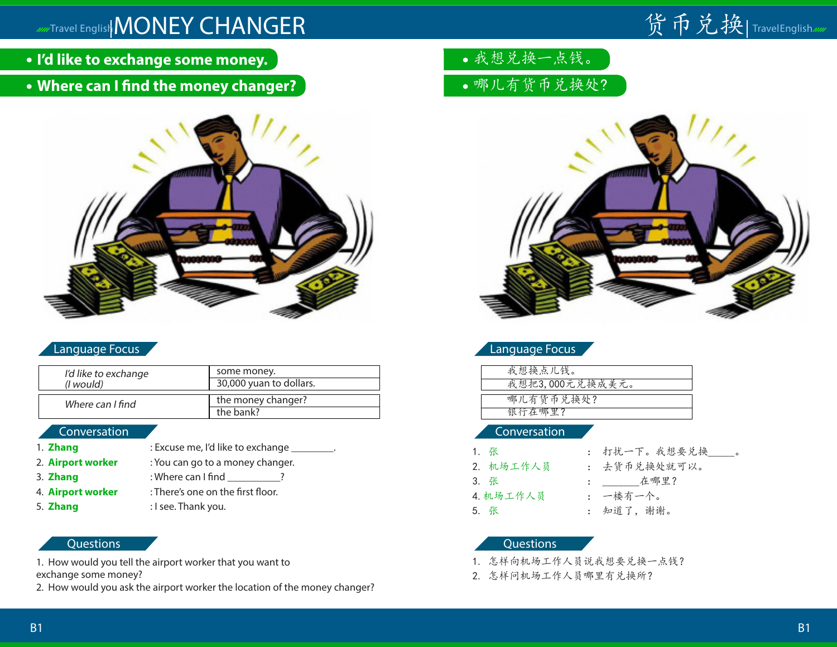## **MAXAYA English MONEY CHANGER**

# 货币兑换|TravelEnglish*m*

- **I'd like to exchange some money.**
- **Where can I find the money changer?**



### Language Focus

| I'd like to exchange | some money.                     |
|----------------------|---------------------------------|
| ( <i>l</i> would)    | 30,000 yuan to dollars.         |
| Where can I find     | the money changer?<br>the bank? |

#### Conversation

1. **Zhang** : Excuse me, I'd like to exchange 2. **Airport worker** : You can go to a money changer. 3. **Zhang** : Where can I find \_\_\_\_\_\_\_\_\_? 4. **Airport worker** : There's one on the first floor. 5. **Zhang** : I see. Thank you.

#### **Questions**

1. How would you tell the airport worker that you want to exchange some money?

2. How would you ask the airport worker the location of the money changer?

- 我想兑换一点钱。
- 哪儿有货币兑换处?



### Language Focus

| 我想换点儿钱。         |
|-----------------|
| 我想把3,000元兑换成美元。 |
|                 |
| 哪儿有货币兑换处?       |
| 银行在哪里?          |

#### Conversation

| 1. 张      |
|-----------|
| 2. 机场工作人员 |
| 3. 张      |
| 4. 机场工作人员 |
| 5. 张      |

- 1. 张 : 打扰一下。我想要兑换\_\_\_\_\_。
- 去货币兑换处就可以。
- 在哪里?
- 一楼有一个。
- 知道了, 谢谢。

- 1. 怎样向机场工作人员说我想要兑换一点钱?
- 2. 怎样问机场工作人员哪里有兑换所?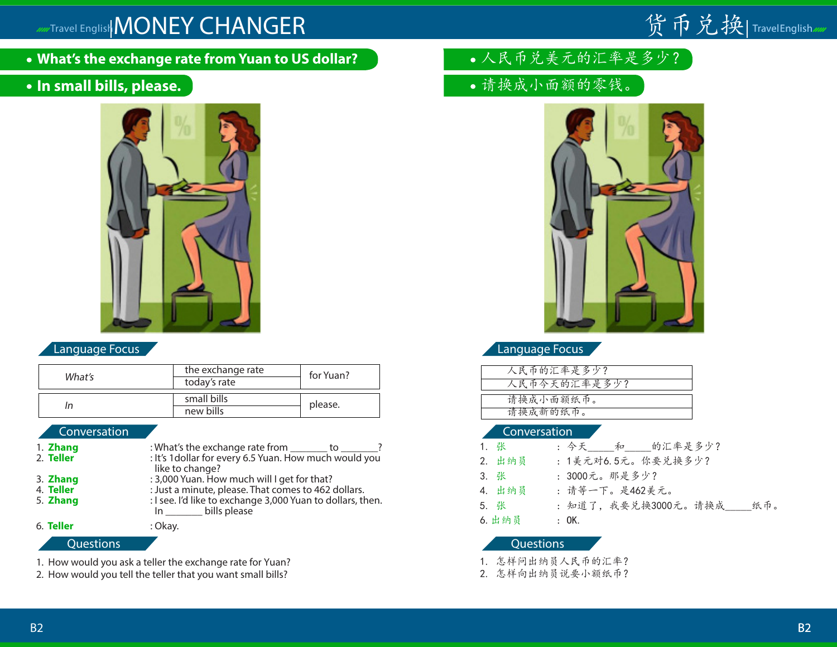## Travel English MONEY CHANGER

**What's the exchange rate from Yuan to US dollar?**

### **In small bills, please.**



|        | the exchange rate | for Yuan? |
|--------|-------------------|-----------|
| What's | today's rate      |           |
|        |                   |           |
|        | small bills       | please.   |
| In     | new bills         |           |

| 1. Zhang         | : What's the exchange rate from ________ to _______?                          | 1. 张      |                      |
|------------------|-------------------------------------------------------------------------------|-----------|----------------------|
| 2. Teller        | : It's 1 dollar for every 6.5 Yuan. How much would you<br>like to change?     | 2. 出纳员    | $\cdot$ :            |
| 3. Zhang         | : 3,000 Yuan. How much will I get for that?                                   | 3. 张      | $\ddot{\phantom{a}}$ |
| 4. Teller        | : Just a minute, please. That comes to 462 dollars.                           | 4. 出纳员    | $\mathbb{R}^2$       |
| 5. Zhang         | : I see. I'd like to exchange 3,000 Yuan to dollars, then.<br>In bills please | 5. 张      | $\mathcal{L}$        |
| 6. Teller        | : Okay.                                                                       | 6. 出纳员    | $\cdot$ :            |
| <b>Questions</b> |                                                                               | Questions |                      |

1. How would you ask a teller the exchange rate for Yuan?

2. How would you tell the teller that you want small bills?

- 人民币兑美元的汇率是多少?
- 请换成小面额的零钱。



货币兑换|TravelEnglish

Language Focus **Language Focus** 

| 人民币的汇率是多少?   |
|--------------|
| 人民币今天的汇率是多少? |
|              |
| 请换成小面额纸币。    |
| 请换成新的纸币。     |
|              |

#### Conversation Conversation Conversation

| 1. 张   | : 今天_____和_____的汇率是多少?     |
|--------|----------------------------|
| 2. 出纳员 | : 1美元对6.5元。你要兑换多少?         |
| 3. 张   | : 3000元。那是多少?              |
| 4. 出纳员 | : 请等一下。是462美元。             |
| 5. 张   | : 知道了,我要兑换3000元。请换成<br>纸币。 |
| 6. 出纳员 | : 0K.                      |

- 1. 怎样问出纳员人民币的汇率?
- 2. 怎样向出纳员说要小额纸币?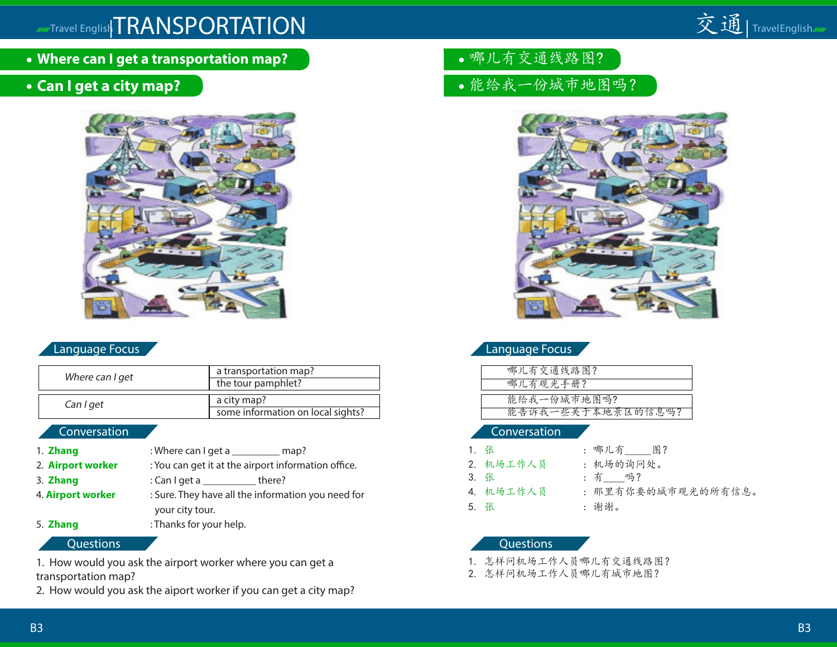## **ADDET CRANSPORTATION**



**Where can I get a transportation map?**

### **Can I get a city map?**



| Where can I get | a transportation map?<br>the tour pamphlet?      |
|-----------------|--------------------------------------------------|
| Can I get       | a city map?<br>some information on local sights? |

#### Conversation Conversation Conversation

- 1. **Zhang** : Where can I get a \_\_\_\_\_\_\_\_\_\_ map? 2. **Airport worker** : You can get it at the airport information office. 3. **Zhang** : Can I get a \_\_\_\_\_\_\_\_\_\_ there? 4. **Airport worker** : Sure. They have all the information you need for your city tour. 5. **Zhang** : Thanks for your help.
- 

1. How would you ask the airport worker where you can get a transportation map?

2. How would you ask the aiport worker if you can get a city map?

- 哪儿有交通线路图?
- 能给我一份城市地图吗?



### Language Focus Language Focus

| 哪儿有交通线路图?         |
|-------------------|
| 哪儿有观光手册?          |
|                   |
| 能给我一份城市地图吗?       |
| 能告诉我一些关于本地景区的信息吗? |
|                   |

- 1. 张 : 哪儿有 图? 2. 机场工作人员 : 机场的询问处。 3. 张 : 有 吗? 5. 张 : 谢谢。
	-
	-
	-
- 4. 机场工作人员 : 那里有你要的城市观光的所有信息。
	-
	-

#### Questions Questions

- 1. 怎样问机场工作人员哪儿有交通线路图?
- 2. 怎样问机场工作人员哪儿有城市地图?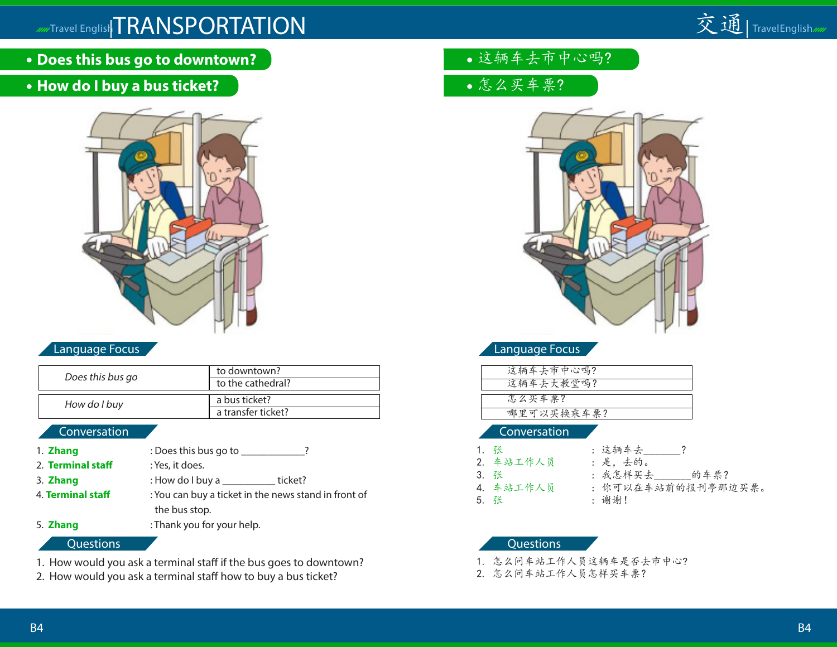# Travel English TRANSPORTATION 交通 | TravelEnglish



**Does this bus go to downtown?**

### **How do I buy a bus ticket?**



#### Language Focus

| Does this bus go | to downtown?<br>to the cathedral?   |
|------------------|-------------------------------------|
| How do I buy     | a bus ticket?<br>a transfer ticket? |

#### Conversation

- 1. **Zhang** : Does this bus go to \_\_\_\_\_\_\_\_\_\_\_? 2. **Terminal staff** : Yes, it does.
- 
- 
- 
- 3. **Zhang** : How do I buy a \_\_\_\_\_\_\_\_\_\_ ticket? 4. **Terminal staff** : You can buy a ticket in the news stand in front of the bus stop.
- 5. **Zhang** : Thank you for your help.

#### **Questions**

- 1. How would you ask a terminal staff if the bus goes to downtown?
- 2. How would you ask a terminal staff how to buy a bus ticket?
- 这辆车去市中心吗?
- 怎么买车票?



### Language Focus

| 这辆车去市中心吗?  |
|------------|
| 这辆车去大教堂吗?  |
|            |
| 怎么买车票?     |
| 哪里可以买换乘车票? |
|            |

#### Conversation

- 1. 张 : 这辆车去\_\_\_\_\_\_\_?<br>2. 车站工作人员 : 是, 去的。 2. 车站工作人员 3. 张 : 我怎样买去\_\_\_\_\_\_\_的车票? 5. 张 : 谢谢!
	- - -
	- 你可以在车站前的报刊亭那边买票。
	-

- 1. 怎么问车站工作人员这辆车是否去市中心?
- 2. 怎么问车站工作人员怎样买车票?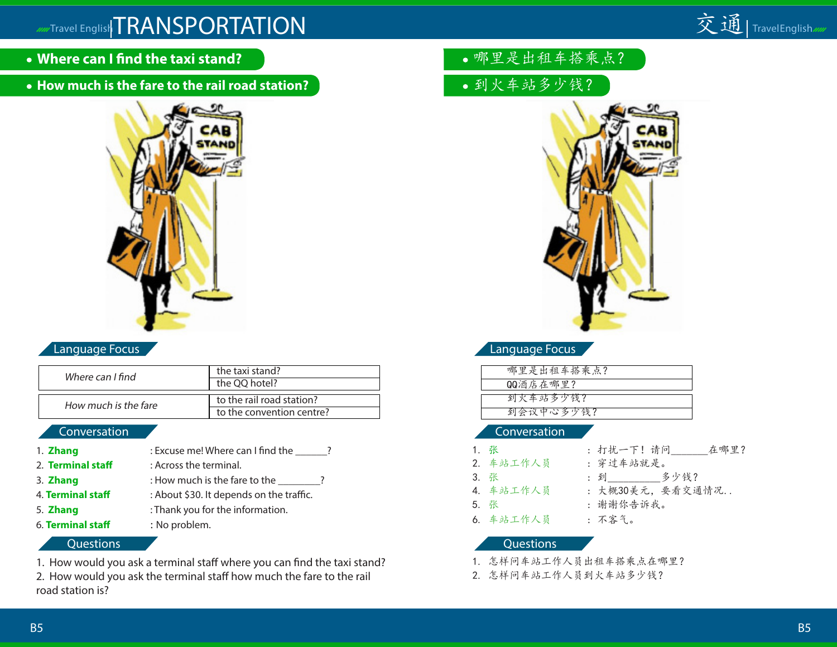# Travel English TRANSPORTATION 交通 | TravelEnglish



- **Where can I find the taxi stand?**
- **How much is the fare to the rail road station?**



### Language Focus

| Where can I find     | the taxi stand?<br>the QQ hotel?                       |
|----------------------|--------------------------------------------------------|
| How much is the fare | to the rail road station?<br>to the convention centre? |

#### Conversation

| : Excuse me! Where can I find the        |
|------------------------------------------|
| : Across the terminal.                   |
| : How much is the fare to the            |
| : About \$30. It depends on the traffic. |
| : Thank you for the information.         |
| : No problem.                            |
|                                          |

#### **Questions**

1. How would you ask a terminal staff where you can find the taxi stand?

2. How would you ask the terminal staff how much the fare to the rail road station is?

- 哪里是出租车搭乘点?
- 到火车站多少钱?



### Language Focus

| 哪里是出租车搭乘点? |
|------------|
| QQ酒店在哪里?   |
|            |
| 到火车站多少钱?   |
| 到会议中心多少钱?  |
|            |

#### Conversation

| 1. 张      | : 打扰一下! 请问<br>在哪里? |
|-----------|--------------------|
| 2. 车站工作人员 | : 穿过车站就是。          |
| 3. 张      | : 到 多少钱?           |
| 4. 车站工作人员 | : 大概30美元, 要看交通情况   |
| 5. 张      | : 谢谢你告诉我。          |
| 6. 车站工作人员 | : 不客气。             |

- 1. 怎样问车站工作人员出租车搭乘点在哪里?
- 2. 怎样问车站工作人员到火车站多少钱?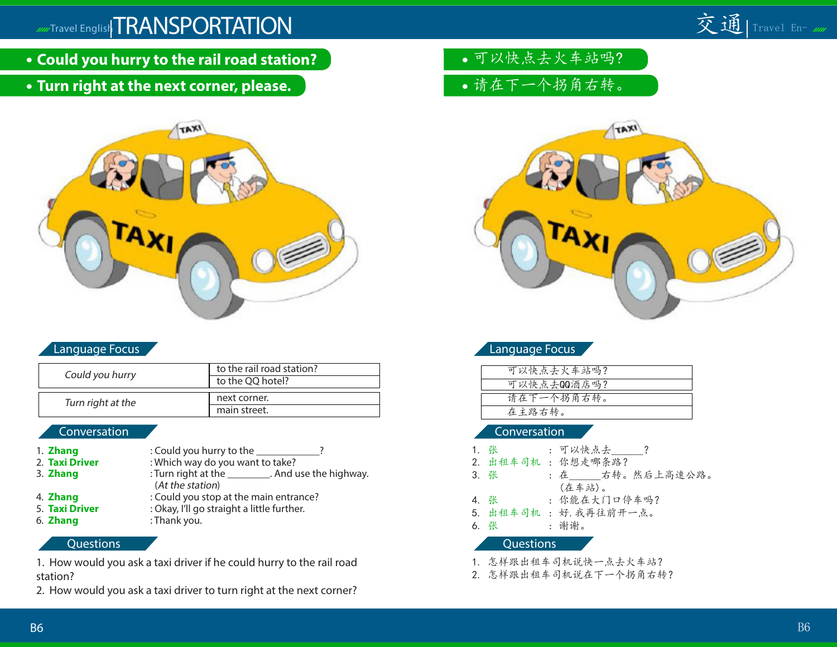- **Could you hurry to the rail road station?**
- **Turn right at the next corner, please.**



#### Language Focus

| Could you hurry   | to the rail road station? |
|-------------------|---------------------------|
|                   | to the QQ hotel?          |
|                   |                           |
| Turn right at the | next corner.              |
|                   | main street.              |

#### Conversation

- 1. **Zhang** : Could you hurry to the \_\_\_\_\_\_\_\_\_\_\_\_? 2. **Taxi Driver** : Which way do you want to take? 3. **Zhang** : Turn right at the \_\_\_\_\_\_\_\_\_. And use the highway. (At the station) 4. **Zhang** : Could you stop at the main entrance?<br>
5. **Taxi Driver** : Okay, I'll go straight a little further. : Okay, I'll go straight a little further.
- 6. **Zhang** : Thank you.

#### **Questions**

1. How would you ask a taxi driver if he could hurry to the rail road station?

2. How would you ask a taxi driver to turn right at the next corner?

- 可以快点去火车站吗?
- 请在下一个拐角右转。



#### Language Focus

| 可以快点去火车站吗?  |  |
|-------------|--|
| 可以快点去00酒店吗? |  |
|             |  |
| 请在下一个拐角右转。  |  |
| 在主路右转。      |  |
|             |  |

#### Conversation

|           | 1. 张 |  | : 可以快点去 ?            |  |
|-----------|------|--|----------------------|--|
|           |      |  | 2. 出租车司机: 你想走哪条路?    |  |
|           | 3. 张 |  | : 在 右转。然后上高速公路。      |  |
|           |      |  | (在车站)。               |  |
|           | 4. 张 |  | : 你能在大门口停车吗?         |  |
|           |      |  | 5. 出租车司机:好. 我再往前开一点。 |  |
|           | 6. 张 |  | : 谢谢。                |  |
| Questions |      |  |                      |  |
|           |      |  | 1. 怎样跟出租车司机说快一点去火车站? |  |

2. 怎样跟出租车司机说在下一个拐角右转?

交通 | Travel En- mm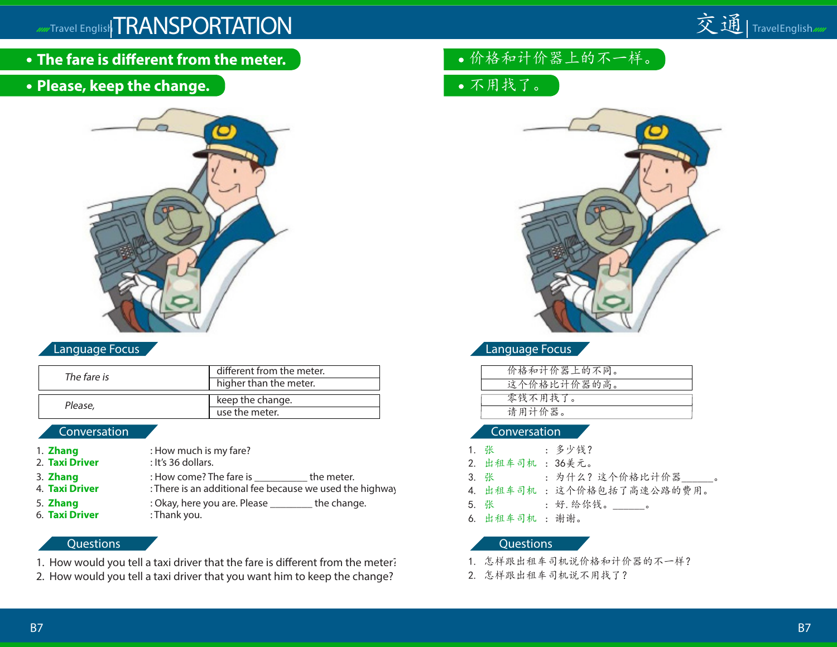

- **The fare is different from the meter.**
- **Please, keep the change.**



### Language Focus

| The fare is  | different from the meter. |
|--------------|---------------------------|
|              | higher than the meter.    |
| Please,      | keep the change.          |
|              | use the meter.            |
| Conversation |                           |

| 1. Zhang                          | : How much is my fare?                                                                     |             |
|-----------------------------------|--------------------------------------------------------------------------------------------|-------------|
| 2. Taxi Driver                    | : It's 36 dollars.                                                                         |             |
| 3. Zhang<br>4. <b>Taxi Driver</b> | : How come? The fare is ______<br>: There is an additional fee because we used the highway | the meter.  |
| 5. Zhang<br>6. Taxi Driver        | : Okay, here you are. Please<br>: Thank you.                                               | the change. |

#### **Questions**

- 1. How would you tell a taxi driver that the fare is different from the meter?
- 2. How would you tell a taxi driver that you want him to keep the change?
- 价格和计价器上的不一样。
- 不用找了。



Language Focus

| 价格和计价器上的不同。 |  |
|-------------|--|
| 这个价格比计价器的高。 |  |
| 零钱不用找了。     |  |
| 请用计价器。      |  |

#### Conversation

| 1. 张            | : 多少钱?                    |
|-----------------|---------------------------|
| 2. 出租车司机: 36美元。 |                           |
| 3. 张            | : 为什么?这个价格比计价器   。        |
|                 | 4. 出租车司机: 这个价格包括了高速公路的费用。 |
|                 | 5. 张:好. 给你钱。______。       |
| 6. 出租车司机:谢谢。    |                           |
|                 |                           |

- 1. 怎样跟出租车司机说价格和计价器的不一样?
- 2. 怎样跟出租车司机说不用找了?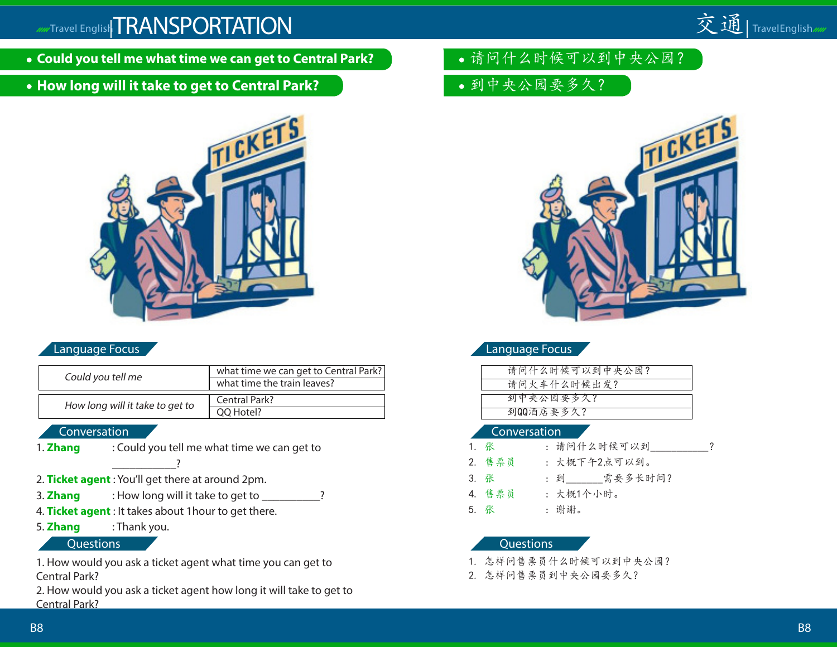

**How long will it take to get to Central Park?**



#### Language Focus

| Could you tell me               | what time we can get to Central Park?<br>what time the train leaves? |
|---------------------------------|----------------------------------------------------------------------|
| How long will it take to get to | Central Park?                                                        |
|                                 | OO Hotel?                                                            |

#### Conversation

1. **Zhang** : Could you tell me what time we can get to

 $\overline{\phantom{a} \phantom{a} \phantom{a} \phantom{a} \phantom{a} \phantom{a} \phantom{a} \phantom{a} }}$ 

- 2. **Ticket agent** : You'll get there at around 2pm.
- 3. **Zhang** : How long will it take to get to \_\_\_\_\_\_\_\_\_\_?
- 4. **Ticket agent** : It takes about 1hour to get there.
- 5. **Zhang** : Thank you.

#### Questions

1. How would you ask a ticket agent what time you can get to Central Park?

2. How would you ask a ticket agent how long it will take to get to Central Park?

- 请问什么时候可以到中央公园?
- 到中央公园要多久?



交通 | TravelEnglish<sub>///</sub>

#### Language Focus

| 请问什么时候可以到中央公园? |  |
|----------------|--|
| 请问火车什么时候出发?    |  |
| 到中央公园要多久?      |  |
|                |  |
| 到00酒店要多久?      |  |
|                |  |

#### Conversation

| 1. 张   | : 请问什么时候可以到        |
|--------|--------------------|
| 2. 售票员 | : 大概下午2点可以到。       |
| 3. 张   | : 到________需要多长时间? |
| 4. 售票员 | : 大概1个小时。          |
| 5. 张   | : 谢谢。              |

- 1. 怎样问售票员什么时候可以到中央公园?
- 2. 怎样问售票员到中央公园要多久?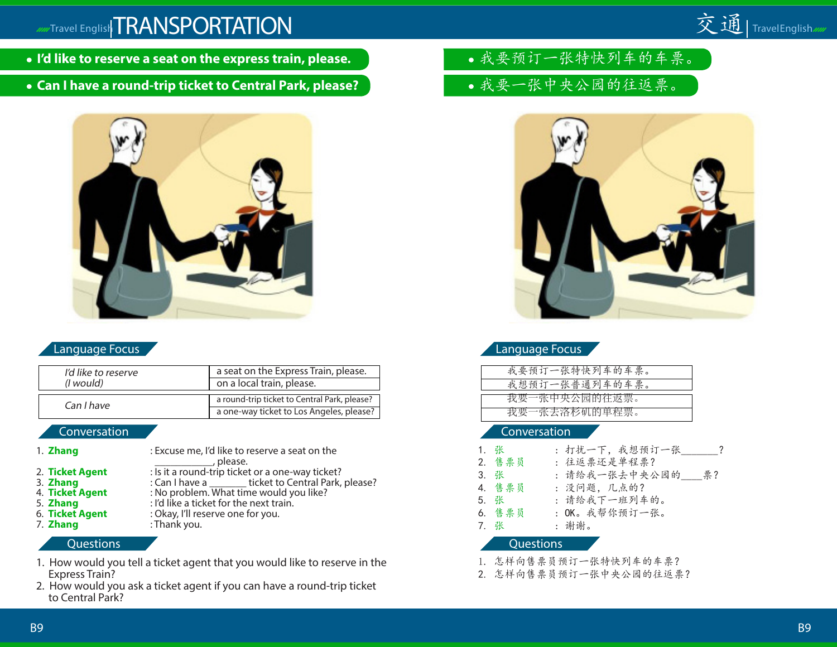### **ADDET CRANSPORTATION**

- **I'd like to reserve a seat on the express train, please.**
- **Can I have a round-trip ticket to Central Park, please?**



### Language Focus

| I'd like to reserve | a seat on the Express Train, please.         |
|---------------------|----------------------------------------------|
| (I would)           | on a local train, please.                    |
|                     | a round-trip ticket to Central Park, please? |
| Can I have          | a one-way ticket to Los Angeles, please?     |

#### Conversation

| 1. Zhang        | : Excuse me, I'd like to reserve a seat on the<br>, please. |
|-----------------|-------------------------------------------------------------|
| 2. Ticket Agent | : Is it a round-trip ticket or a one-way ticket?            |
| 3. Zhang        | : Can I have a _________ticket to Central Park, please?     |
| 4. Ticket Agent | : No problem. What time would you like?                     |
| 5. Zhang        | : I'd like a ticket for the next train.                     |
| 6. Ticket Agent | : Okay, I'll reserve one for you.                           |
| 7. Zhang        | : Thank you.                                                |

### **Questions**

- 1. How would you tell a ticket agent that you would like to reserve in the Express Train?
- 2. How would you ask a ticket agent if you can have a round-trip ticket to Central Park?
- 我要预订一张特快列车的车票。
- 我要一张中央公园的往返票。



交通 | TravelEnglish

### Language Focus

| 我要预订一张特快列车的车票。 |
|----------------|
| 我想预订一张普通列车的车票。 |
| 我要一张中央公园的往返票。  |
|                |
| 我要一张去洛杉矶的单程票。  |
|                |

#### Conversation

| 1. 张 |                  | :打扰一下,我想预订一张     |
|------|------------------|------------------|
|      | 2. 售票员           | : 往返票还是单程票?      |
| 3. 张 |                  | : 请给我一张去中央公园的 票? |
|      | 4. 售票员           | : 没问题, 几点的?      |
| 5. 张 |                  | : 请给我下一班列车的。     |
|      | 6. 售票员           | : OK。我帮你预订一张。    |
| 7. 张 |                  | : 谢谢。            |
|      | <b>Questions</b> |                  |

- 1. 怎样向售票员预订一张特快列车的车票?
- 2. 怎样向售票员预订一张中央公园的往返票?